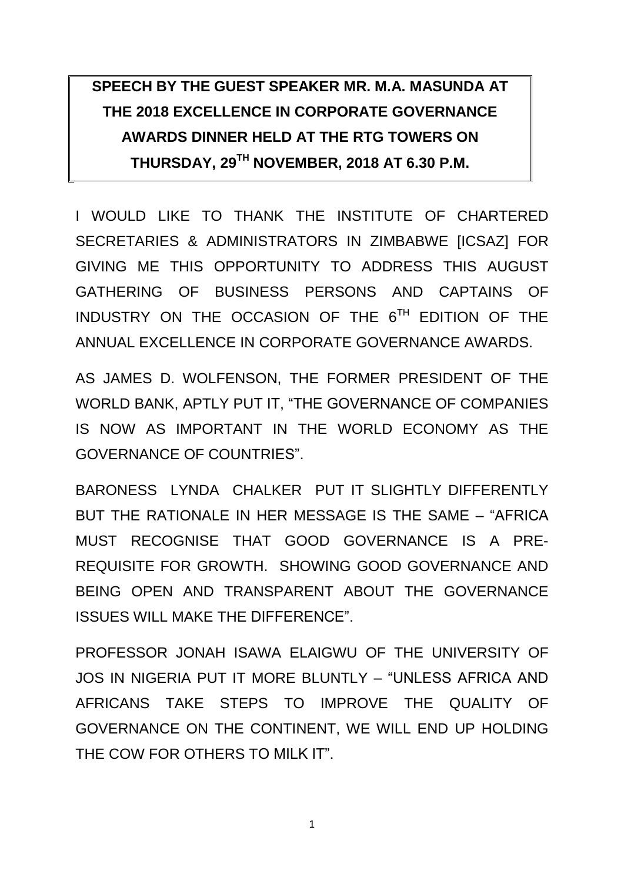# **SPEECH BY THE GUEST SPEAKER MR. M.A. MASUNDA AT THE 2018 EXCELLENCE IN CORPORATE GOVERNANCE AWARDS DINNER HELD AT THE RTG TOWERS ON THURSDAY, 29TH NOVEMBER, 2018 AT 6.30 P.M.**

I WOULD LIKE TO THANK THE INSTITUTE OF CHARTERED SECRETARIES & ADMINISTRATORS IN ZIMBABWE [ICSAZ] FOR GIVING ME THIS OPPORTUNITY TO ADDRESS THIS AUGUST GATHERING OF BUSINESS PERSONS AND CAPTAINS OF INDUSTRY ON THE OCCASION OF THE  $6^{TH}$  EDITION OF THE ANNUAL EXCELLENCE IN CORPORATE GOVERNANCE AWARDS.

AS JAMES D. WOLFENSON, THE FORMER PRESIDENT OF THE WORLD BANK, APTLY PUT IT, "THE GOVERNANCE OF COMPANIES IS NOW AS IMPORTANT IN THE WORLD ECONOMY AS THE GOVERNANCE OF COUNTRIES".

BARONESS LYNDA CHALKER PUT IT SLIGHTLY DIFFERENTLY BUT THE RATIONALE IN HER MESSAGE IS THE SAME – "AFRICA MUST RECOGNISE THAT GOOD GOVERNANCE IS A PRE-REQUISITE FOR GROWTH. SHOWING GOOD GOVERNANCE AND BEING OPEN AND TRANSPARENT ABOUT THE GOVERNANCE ISSUES WILL MAKE THE DIFFERENCE".

PROFESSOR JONAH ISAWA ELAIGWU OF THE UNIVERSITY OF JOS IN NIGERIA PUT IT MORE BLUNTLY – "UNLESS AFRICA AND AFRICANS TAKE STEPS TO IMPROVE THE QUALITY OF GOVERNANCE ON THE CONTINENT, WE WILL END UP HOLDING THE COW FOR OTHERS TO MILK IT"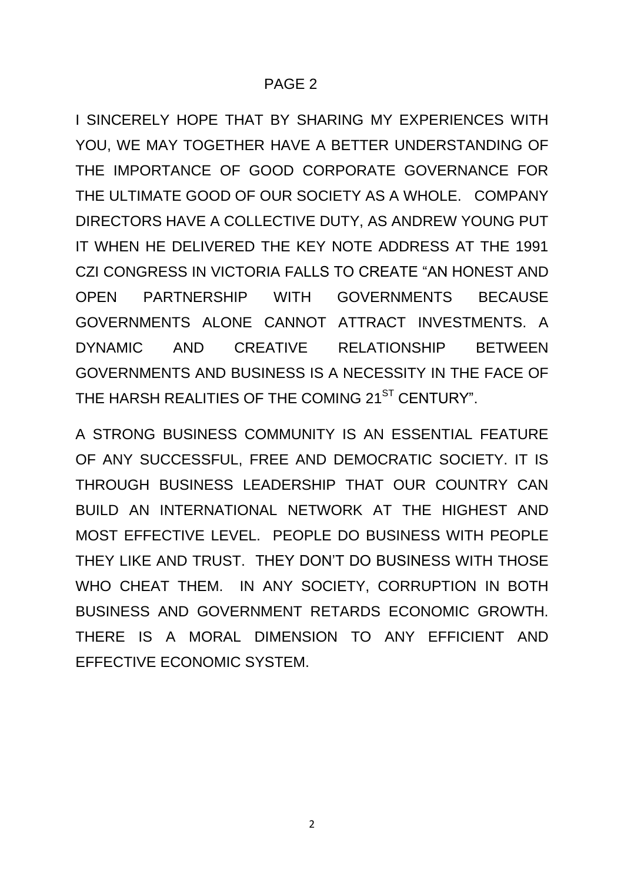I SINCERELY HOPE THAT BY SHARING MY EXPERIENCES WITH YOU, WE MAY TOGETHER HAVE A BETTER UNDERSTANDING OF THE IMPORTANCE OF GOOD CORPORATE GOVERNANCE FOR THE ULTIMATE GOOD OF OUR SOCIETY AS A WHOLE. COMPANY DIRECTORS HAVE A COLLECTIVE DUTY, AS ANDREW YOUNG PUT IT WHEN HE DELIVERED THE KEY NOTE ADDRESS AT THE 1991 CZI CONGRESS IN VICTORIA FALLS TO CREATE "AN HONEST AND OPEN PARTNERSHIP WITH GOVERNMENTS BECAUSE GOVERNMENTS ALONE CANNOT ATTRACT INVESTMENTS. A DYNAMIC AND CREATIVE RELATIONSHIP BETWEEN GOVERNMENTS AND BUSINESS IS A NECESSITY IN THE FACE OF THE HARSH REALITIES OF THE COMING 21<sup>ST</sup> CENTURY".

A STRONG BUSINESS COMMUNITY IS AN ESSENTIAL FEATURE OF ANY SUCCESSFUL, FREE AND DEMOCRATIC SOCIETY. IT IS THROUGH BUSINESS LEADERSHIP THAT OUR COUNTRY CAN BUILD AN INTERNATIONAL NETWORK AT THE HIGHEST AND MOST EFFECTIVE LEVEL. PEOPLE DO BUSINESS WITH PEOPLE THEY LIKE AND TRUST. THEY DON'T DO BUSINESS WITH THOSE WHO CHEAT THEM. IN ANY SOCIETY, CORRUPTION IN BOTH BUSINESS AND GOVERNMENT RETARDS ECONOMIC GROWTH. THERE IS A MORAL DIMENSION TO ANY EFFICIENT AND EFFECTIVE ECONOMIC SYSTEM.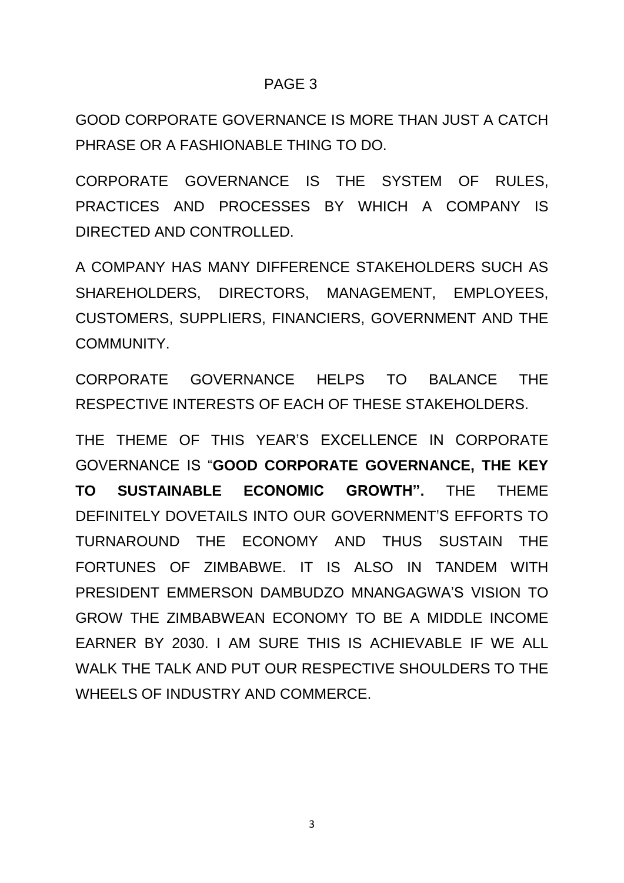GOOD CORPORATE GOVERNANCE IS MORE THAN JUST A CATCH PHRASE OR A FASHIONABLE THING TO DO.

CORPORATE GOVERNANCE IS THE SYSTEM OF RULES, PRACTICES AND PROCESSES BY WHICH A COMPANY IS DIRECTED AND CONTROLLED.

A COMPANY HAS MANY DIFFERENCE STAKEHOLDERS SUCH AS SHAREHOLDERS, DIRECTORS, MANAGEMENT, EMPLOYEES, CUSTOMERS, SUPPLIERS, FINANCIERS, GOVERNMENT AND THE COMMUNITY.

CORPORATE GOVERNANCE HELPS TO BALANCE THE RESPECTIVE INTERESTS OF EACH OF THESE STAKEHOLDERS.

THE THEME OF THIS YEAR'S EXCELLENCE IN CORPORATE GOVERNANCE IS "**GOOD CORPORATE GOVERNANCE, THE KEY TO SUSTAINABLE ECONOMIC GROWTH".** THE THEME DEFINITELY DOVETAILS INTO OUR GOVERNMENT'S EFFORTS TO TURNAROUND THE ECONOMY AND THUS SUSTAIN THE FORTUNES OF ZIMBABWE. IT IS ALSO IN TANDEM WITH PRESIDENT EMMERSON DAMBUDZO MNANGAGWA'S VISION TO GROW THE ZIMBABWEAN ECONOMY TO BE A MIDDLE INCOME EARNER BY 2030. I AM SURE THIS IS ACHIEVABLE IF WE ALL WALK THE TALK AND PUT OUR RESPECTIVE SHOULDERS TO THE WHEELS OF INDUSTRY AND COMMERCE.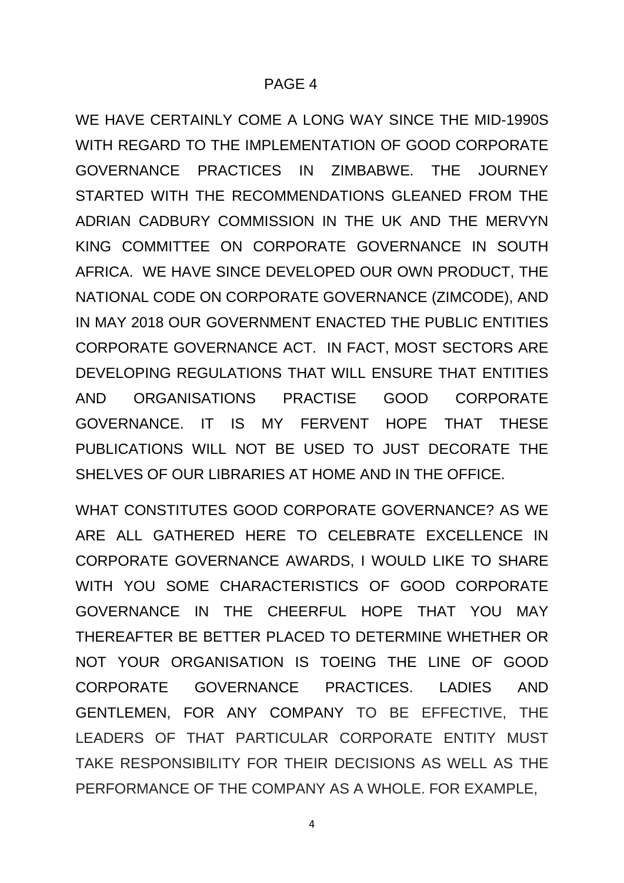WE HAVE CERTAINLY COME A LONG WAY SINCE THE MID-1990S WITH REGARD TO THE IMPLEMENTATION OF GOOD CORPORATE GOVERNANCE PRACTICES IN ZIMBABWE. THE JOURNEY STARTED WITH THE RECOMMENDATIONS GLEANED FROM THE ADRIAN CADBURY COMMISSION IN THE UK AND THE MERVYN KING COMMITTEE ON CORPORATE GOVERNANCE IN SOUTH AFRICA. WE HAVE SINCE DEVELOPED OUR OWN PRODUCT, THE NATIONAL CODE ON CORPORATE GOVERNANCE (ZIMCODE), AND IN MAY 2018 OUR GOVERNMENT ENACTED THE PUBLIC ENTITIES CORPORATE GOVERNANCE ACT. IN FACT, MOST SECTORS ARE DEVELOPING REGULATIONS THAT WILL ENSURE THAT ENTITIES AND ORGANISATIONS PRACTISE GOOD CORPORATE GOVERNANCE. IT IS MY FERVENT HOPE THAT THESE PUBLICATIONS WILL NOT BE USED TO JUST DECORATE THE SHELVES OF OUR LIBRARIES AT HOME AND IN THE OFFICE.

WHAT CONSTITUTES GOOD CORPORATE GOVERNANCE? AS WE ARE ALL GATHERED HERE TO CELEBRATE EXCELLENCE IN CORPORATE GOVERNANCE AWARDS, I WOULD LIKE TO SHARE WITH YOU SOME CHARACTERISTICS OF GOOD CORPORATE GOVERNANCE IN THE CHEERFUL HOPE THAT YOU MAY THEREAFTER BE BETTER PLACED TO DETERMINE WHETHER OR NOT YOUR ORGANISATION IS TOEING THE LINE OF GOOD CORPORATE GOVERNANCE PRACTICES. LADIES AND GENTLEMEN, FOR ANY COMPANY TO BE EFFECTIVE, THE LEADERS OF THAT PARTICULAR CORPORATE ENTITY MUST TAKE RESPONSIBILITY FOR THEIR DECISIONS AS WELL AS THE PERFORMANCE OF THE COMPANY AS A WHOLE. FOR EXAMPLE,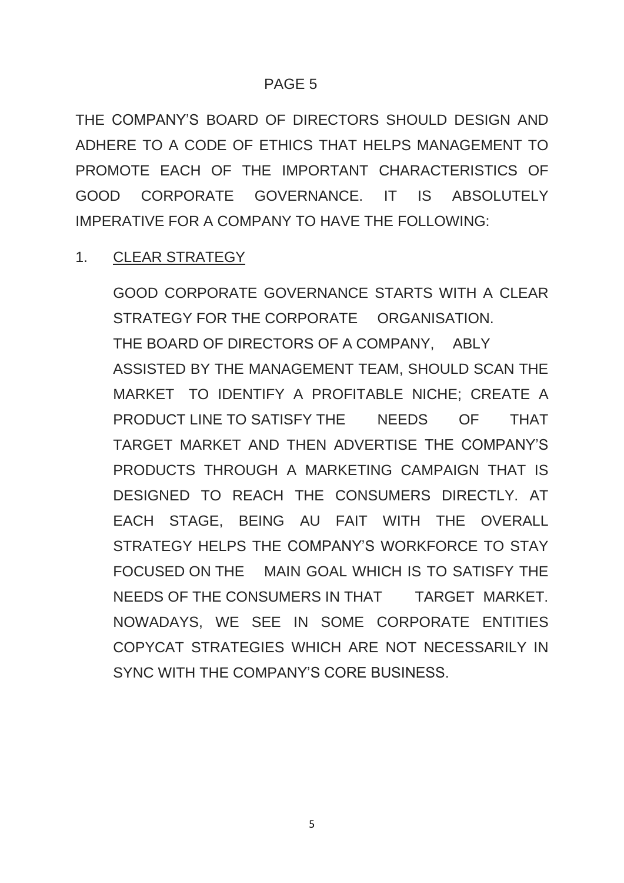THE COMPANY'S BOARD OF DIRECTORS SHOULD DESIGN AND ADHERE TO A CODE OF ETHICS THAT HELPS MANAGEMENT TO PROMOTE EACH OF THE IMPORTANT CHARACTERISTICS OF GOOD CORPORATE GOVERNANCE. IT IS ABSOLUTELY IMPERATIVE FOR A COMPANY TO HAVE THE FOLLOWING:

# 1. CLEAR STRATEGY

GOOD CORPORATE GOVERNANCE STARTS WITH A CLEAR STRATEGY FOR THE CORPORATE ORGANISATION. THE BOARD OF DIRECTORS OF A COMPANY, ABLY ASSISTED BY THE MANAGEMENT TEAM, SHOULD SCAN THE MARKET TO IDENTIFY A PROFITABLE NICHE; CREATE A PRODUCT LINE TO SATISFY THE NEEDS OF THAT TARGET MARKET AND THEN ADVERTISE THE COMPANY'S PRODUCTS THROUGH A MARKETING CAMPAIGN THAT IS DESIGNED TO REACH THE CONSUMERS DIRECTLY. AT EACH STAGE, BEING AU FAIT WITH THE OVERALL STRATEGY HELPS THE COMPANY'S WORKFORCE TO STAY FOCUSED ON THE MAIN GOAL WHICH IS TO SATISFY THE NEEDS OF THE CONSUMERS IN THAT TARGET MARKET. NOWADAYS, WE SEE IN SOME CORPORATE ENTITIES COPYCAT STRATEGIES WHICH ARE NOT NECESSARILY IN SYNC WITH THE COMPANY'S CORE BUSINESS.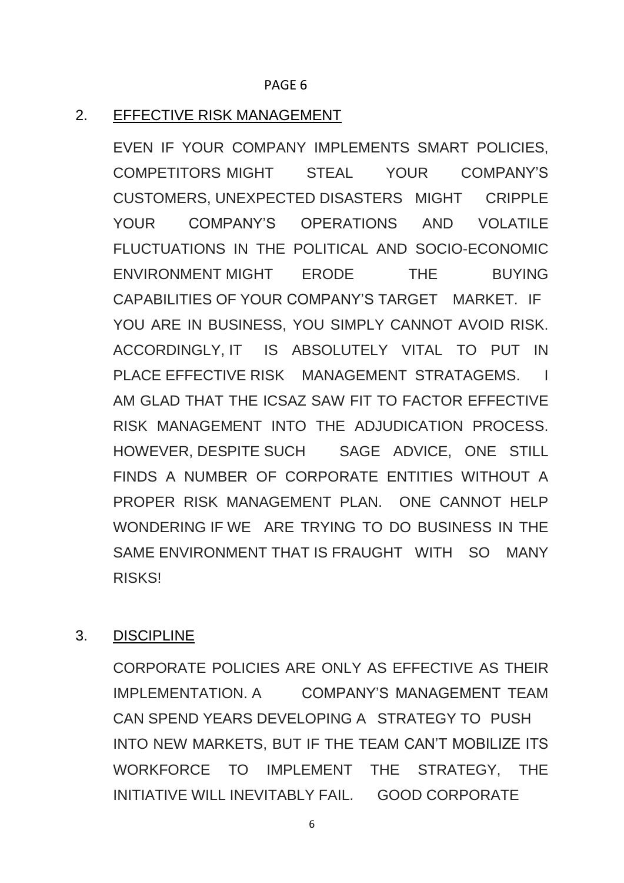#### 2. EFFECTIVE RISK MANAGEMENT

EVEN IF YOUR COMPANY IMPLEMENTS SMART POLICIES, COMPETITORS MIGHT STEAL YOUR COMPANY'S CUSTOMERS, UNEXPECTED DISASTERS MIGHT CRIPPLE YOUR COMPANY'S OPERATIONS AND VOLATILE FLUCTUATIONS IN THE POLITICAL AND SOCIO-ECONOMIC ENVIRONMENT MIGHT ERODE THE BUYING CAPABILITIES OF YOUR COMPANY'S TARGET MARKET. IF YOU ARE IN BUSINESS, YOU SIMPLY CANNOT AVOID RISK. ACCORDINGLY, IT IS ABSOLUTELY VITAL TO PUT IN PLACE EFFECTIVE RISK MANAGEMENT STRATAGEMS. I AM GLAD THAT THE ICSAZ SAW FIT TO FACTOR EFFECTIVE RISK MANAGEMENT INTO THE ADJUDICATION PROCESS. HOWEVER, DESPITE SUCH SAGE ADVICE, ONE STILL FINDS A NUMBER OF CORPORATE ENTITIES WITHOUT A PROPER RISK MANAGEMENT PLAN. ONE CANNOT HELP WONDERING IF WE ARE TRYING TO DO BUSINESS IN THE SAME ENVIRONMENT THAT IS FRAUGHT WITH SO MANY RISKS!

#### 3. DISCIPLINE

CORPORATE POLICIES ARE ONLY AS EFFECTIVE AS THEIR IMPLEMENTATION. A COMPANY'S MANAGEMENT TEAM CAN SPEND YEARS DEVELOPING A STRATEGY TO PUSH INTO NEW MARKETS, BUT IF THE TEAM CAN'T MOBILIZE ITS WORKFORCE TO IMPLEMENT THE STRATEGY, THE INITIATIVE WILL INEVITABLY FAIL. GOOD CORPORATE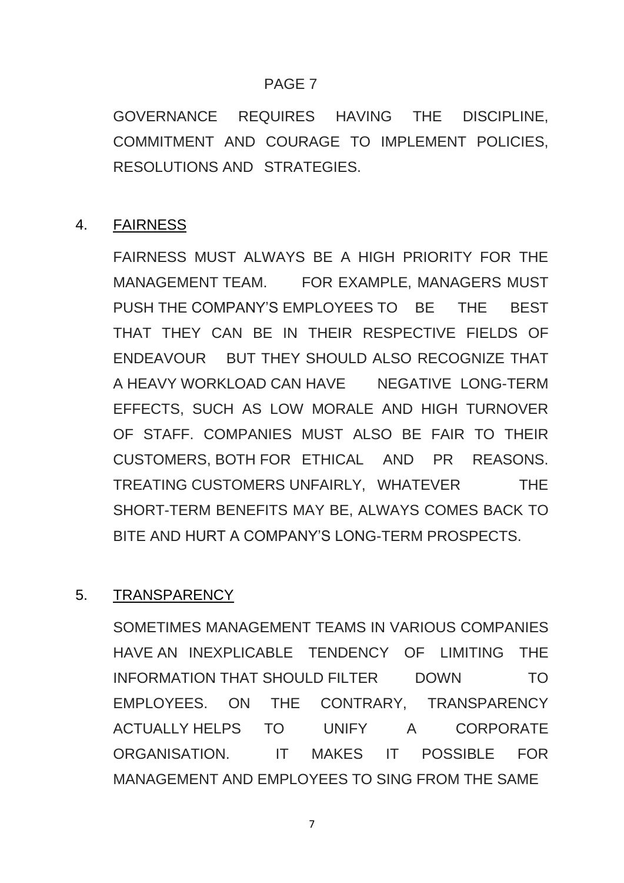GOVERNANCE REQUIRES HAVING THE DISCIPLINE, COMMITMENT AND COURAGE TO IMPLEMENT POLICIES, RESOLUTIONS AND STRATEGIES.

# 4. FAIRNESS

FAIRNESS MUST ALWAYS BE A HIGH PRIORITY FOR THE MANAGEMENT TEAM. FOR EXAMPLE, MANAGERS MUST PUSH THE COMPANY'S EMPLOYEES TO BE THE BEST THAT THEY CAN BE IN THEIR RESPECTIVE FIELDS OF ENDEAVOUR BUT THEY SHOULD ALSO RECOGNIZE THAT A HEAVY WORKLOAD CAN HAVE NEGATIVE LONG-TERM EFFECTS, SUCH AS LOW MORALE AND HIGH TURNOVER OF STAFF. COMPANIES MUST ALSO BE FAIR TO THEIR CUSTOMERS, BOTH FOR ETHICAL AND PR REASONS. TREATING CUSTOMERS UNFAIRLY, WHATEVER THE SHORT-TERM BENEFITS MAY BE, ALWAYS COMES BACK TO BITE AND HURT A COMPANY'S LONG-TERM PROSPECTS.

## 5. TRANSPARENCY

SOMETIMES MANAGEMENT TEAMS IN VARIOUS COMPANIES HAVE AN INEXPLICABLE TENDENCY OF LIMITING THE INFORMATION THAT SHOULD FILTER DOWN TO EMPLOYEES. ON THE CONTRARY, TRANSPARENCY ACTUALLY HELPS TO UNIFY A CORPORATE ORGANISATION. IT MAKES IT POSSIBLE FOR MANAGEMENT AND EMPLOYEES TO SING FROM THE SAME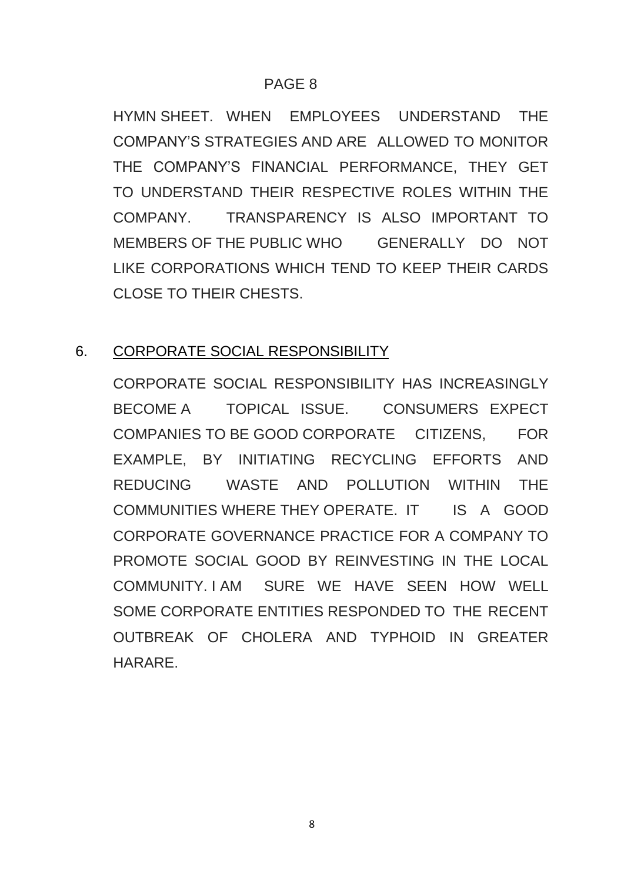HYMN SHEET. WHEN EMPLOYEES UNDERSTAND THE COMPANY'S STRATEGIES AND ARE ALLOWED TO MONITOR THE COMPANY'S FINANCIAL PERFORMANCE, THEY GET TO UNDERSTAND THEIR RESPECTIVE ROLES WITHIN THE COMPANY. TRANSPARENCY IS ALSO IMPORTANT TO MEMBERS OF THE PUBLIC WHO GENERALLY DO NOT LIKE CORPORATIONS WHICH TEND TO KEEP THEIR CARDS CLOSE TO THEIR CHESTS.

# 6. CORPORATE SOCIAL RESPONSIBILITY

CORPORATE SOCIAL RESPONSIBILITY HAS INCREASINGLY BECOME A TOPICAL ISSUE. CONSUMERS EXPECT COMPANIES TO BE GOOD CORPORATE CITIZENS, FOR EXAMPLE, BY INITIATING RECYCLING EFFORTS AND REDUCING WASTE AND POLLUTION WITHIN THE COMMUNITIES WHERE THEY OPERATE. IT IS A GOOD CORPORATE GOVERNANCE PRACTICE FOR A COMPANY TO PROMOTE SOCIAL GOOD BY REINVESTING IN THE LOCAL COMMUNITY. I AM SURE WE HAVE SEEN HOW WELL SOME CORPORATE ENTITIES RESPONDED TO THE RECENT OUTBREAK OF CHOLERA AND TYPHOID IN GREATER HARARE.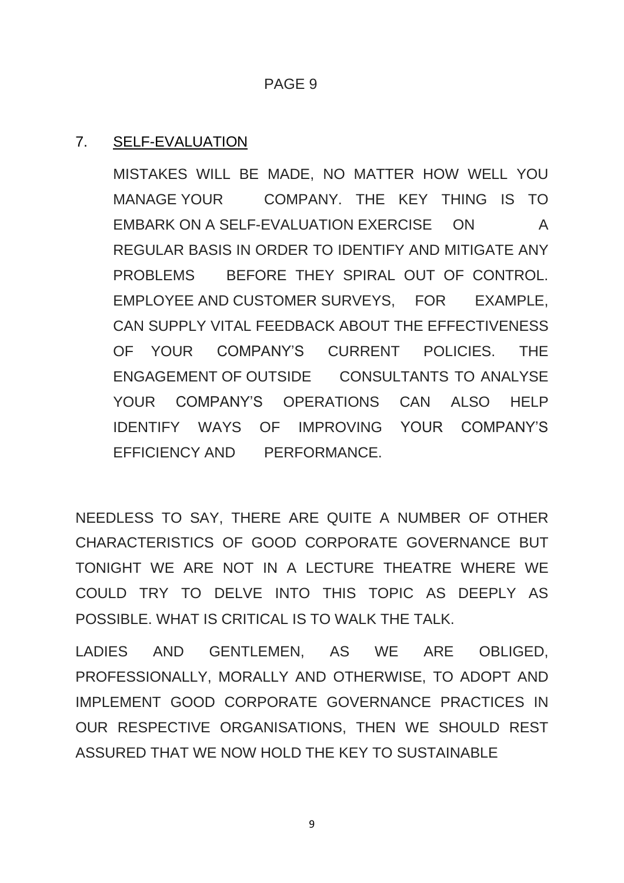### 7. SELF-EVALUATION

MISTAKES WILL BE MADE, NO MATTER HOW WELL YOU MANAGE YOUR COMPANY. THE KEY THING IS TO EMBARK ON A SELF-EVALUATION EXERCISE ON A REGULAR BASIS IN ORDER TO IDENTIFY AND MITIGATE ANY PROBLEMS BEFORE THEY SPIRAL OUT OF CONTROL. EMPLOYEE AND CUSTOMER SURVEYS, FOR EXAMPLE, CAN SUPPLY VITAL FEEDBACK ABOUT THE EFFECTIVENESS OF YOUR COMPANY'S CURRENT POLICIES. THE ENGAGEMENT OF OUTSIDE CONSULTANTS TO ANALYSE YOUR COMPANY'S OPERATIONS CAN ALSO HELP IDENTIFY WAYS OF IMPROVING YOUR COMPANY'S EFFICIENCY AND PERFORMANCE.

NEEDLESS TO SAY, THERE ARE QUITE A NUMBER OF OTHER CHARACTERISTICS OF GOOD CORPORATE GOVERNANCE BUT TONIGHT WE ARE NOT IN A LECTURE THEATRE WHERE WE COULD TRY TO DELVE INTO THIS TOPIC AS DEEPLY AS POSSIBLE. WHAT IS CRITICAL IS TO WALK THE TALK.

LADIES AND GENTLEMEN, AS WE ARE OBLIGED, PROFESSIONALLY, MORALLY AND OTHERWISE, TO ADOPT AND IMPLEMENT GOOD CORPORATE GOVERNANCE PRACTICES IN OUR RESPECTIVE ORGANISATIONS, THEN WE SHOULD REST ASSURED THAT WE NOW HOLD THE KEY TO SUSTAINABLE